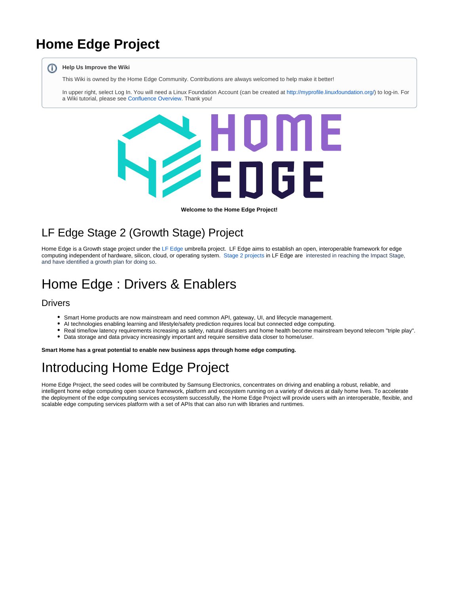## **Home Edge Project**

#### ന **Help Us Improve the Wiki**

This Wiki is owned by the Home Edge Community. Contributions are always welcomed to help make it better!

In upper right, select Log In. You will need a Linux Foundation Account (can be created at <http://myprofile.linuxfoundation.org/>) to log-in. For a Wiki tutorial, please see [Confluence Overview](https://wiki.lfedge.org/display/LE/Confluence+Overview). Thank you!



**Welcome to the Home Edge Project!**

## LF Edge Stage 2 (Growth Stage) Project

Home Edge is a Growth stage project under the [LF Edge](https://www.lfedge.org/) umbrella project. LF Edge aims to establish an open, interoperable framework for edge computing independent of hardware, silicon, cloud, or operating system. [Stage 2 projects](https://wiki.lfedge.org/display/LE/Project+Stages%3A+Definitions+and+Expectations) in LF Edge are interested in reaching the Impact Stage, and have identified a growth plan for doing so.

## Home Edge : Drivers & Enablers

### **Drivers**

- Smart Home products are now mainstream and need common API, gateway, UI, and lifecycle management.
- $\bullet$ AI technologies enabling learning and lifestyle/safety prediction requires local but connected edge computing.
- Real time/low latency requirements increasing as safety, natural disasters and home health become mainstream beyond telecom "triple play".
- Data storage and data privacy increasingly important and require sensitive data closer to home/user.

**Smart Home has a great potential to enable new business apps through home edge computing.**

# Introducing Home Edge Project

Home Edge Project, the seed codes will be contributed by Samsung Electronics, concentrates on driving and enabling a robust, reliable, and intelligent home edge computing open source framework, platform and ecosystem running on a variety of devices at daily home lives. To accelerate the deployment of the edge computing services ecosystem successfully, the Home Edge Project will provide users with an interoperable, flexible, and scalable edge computing services platform with a set of APIs that can also run with libraries and runtimes.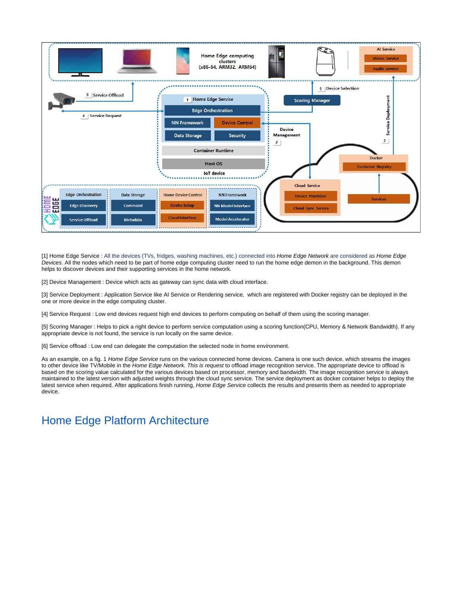

[1] Home Edge Service : All the devices (TVs, fridges, washing machines, etc.) connected into Home Edge Network are considered as Home Edge Devices. All the nodes which need to be part of home edge computing cluster need to run the home edge demon in the background. This demon helps to discover devices and their supporting services in the home network.

[2] Device Management : Device which acts as gateway can sync data with cloud interface.

[3] Service Deployment : Application Service like AI Service or Rendering service, which are registered with Docker registry can be deployed in the one or more device in the edge computing cluster.

[4] Service Request : Low end devices request high end devices to perform computing on behalf of them using the scoring manager.

[5] Scoring Manager : Helps to pick a right device to perform service computation using a scoring function(CPU, Memory & Network Bandwidth). If any appropriate device is not found, the service is run locally on the same device.

[6] Service offload : Low end can delegate the computation the selected node in home environment.

As an example, on a fig. 1 Home Edge Service runs on the various connected home devices. Camera is one such device, which streams the images to other device like TV/Mobile in the Home Edge Network. This is request to offload image recognition service. The appropriate device to offload is based on the scoring value calculated for the various devices based on processor, memory and bandwidth. The image recognition service is always maintained to the latest version with adjusted weights through the cloud sync service. The service deployment as docker container helps to deploy the latest service when required. After applications finish running, Home Edge Service collects the results and presents them as needed to appropriate device.

## [Home Edge Platform Architecture](https://wiki.lfedge.org/display/HOME/Home+Edge+Platform+Architecture?src=contextnavpagetreemode)